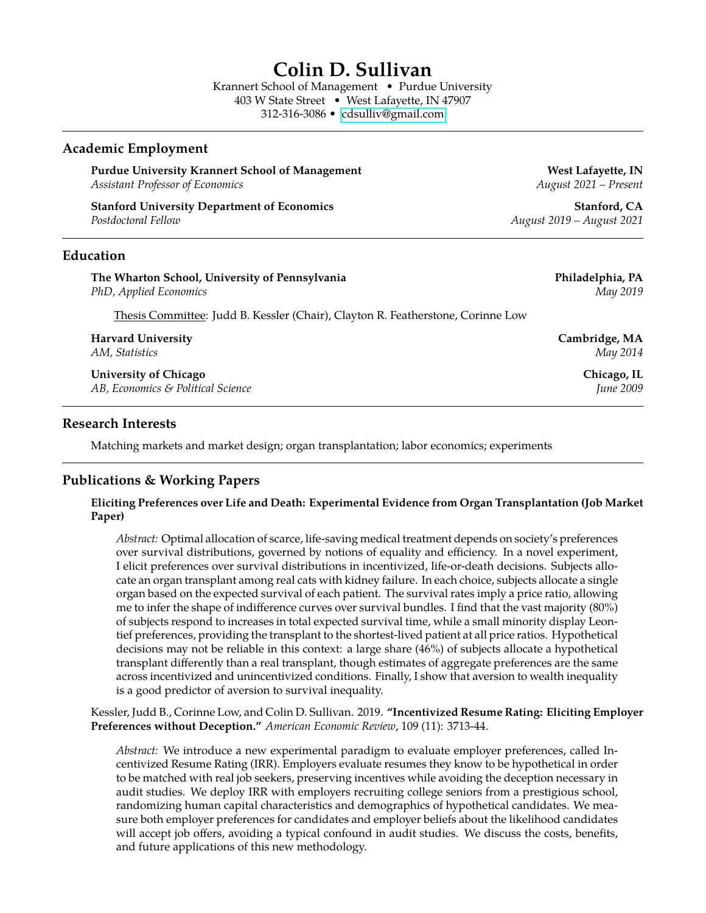# **Colin D. Sullivan**

Krannert School of Management • Purdue University 403 W State Street • West Lafayette, IN 47907 312-316-3086 • [cdsulliv@gmail.com](mailto://cdsulliv@gmail.com)

#### **Academic Employment**

Purdue University Krannert School of Management **West Lafayette, IN** *Assistant Professor of Economics August 2021 – Present*

**Stanford University Department of Economics Stanford, CA** *Postdoctoral Fellow August 2019 – August 2021*

#### **Education**

| The Wharton School, University of Pennsylvania                                  | Philadelphia, PA               |
|---------------------------------------------------------------------------------|--------------------------------|
| PhD, Applied Economics                                                          | May 2019                       |
| Thesis Committee: Judd B. Kessler (Chair), Clayton R. Featherstone, Corinne Low |                                |
| <b>Harvard University</b>                                                       | Cambridge, MA                  |
| AM, Statistics                                                                  | May 2014                       |
| <b>University of Chicago</b>                                                    | Chicago, IL                    |
| AB, Economics & Political Science                                               | <i><u><b>Iune 2009</b></u></i> |

#### **Research Interests**

Matching markets and market design; organ transplantation; labor economics; experiments

### **Publications & Working Papers**

#### **Eliciting Preferences over Life and Death: Experimental Evidence from Organ Transplantation (Job Market Paper)**

*Abstract:* Optimal allocation of scarce, life-saving medical treatment depends on society's preferences over survival distributions, governed by notions of equality and efficiency. In a novel experiment, I elicit preferences over survival distributions in incentivized, life-or-death decisions. Subjects allocate an organ transplant among real cats with kidney failure. In each choice, subjects allocate a single organ based on the expected survival of each patient. The survival rates imply a price ratio, allowing me to infer the shape of indifference curves over survival bundles. I find that the vast majority (80%) of subjects respond to increases in total expected survival time, while a small minority display Leontief preferences, providing the transplant to the shortest-lived patient at all price ratios. Hypothetical decisions may not be reliable in this context: a large share (46%) of subjects allocate a hypothetical transplant differently than a real transplant, though estimates of aggregate preferences are the same across incentivized and unincentivized conditions. Finally, I show that aversion to wealth inequality is a good predictor of aversion to survival inequality.

Kessler, Judd B., Corinne Low, and Colin D. Sullivan. 2019. **"Incentivized Resume Rating: Eliciting Employer Preferences without Deception."** *American Economic Review*, 109 (11): 3713-44.

*Abstract:* We introduce a new experimental paradigm to evaluate employer preferences, called Incentivized Resume Rating (IRR). Employers evaluate resumes they know to be hypothetical in order to be matched with real job seekers, preserving incentives while avoiding the deception necessary in audit studies. We deploy IRR with employers recruiting college seniors from a prestigious school, randomizing human capital characteristics and demographics of hypothetical candidates. We measure both employer preferences for candidates and employer beliefs about the likelihood candidates will accept job offers, avoiding a typical confound in audit studies. We discuss the costs, benefits, and future applications of this new methodology.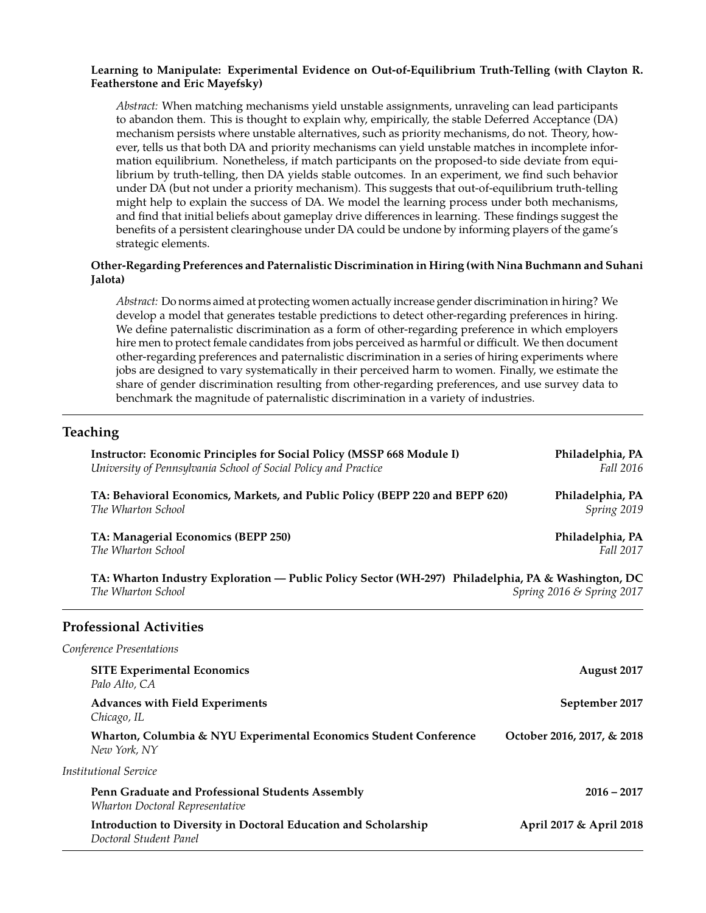#### **Learning to Manipulate: Experimental Evidence on Out-of-Equilibrium Truth-Telling (with Clayton R. Featherstone and Eric Mayefsky)**

*Abstract:* When matching mechanisms yield unstable assignments, unraveling can lead participants to abandon them. This is thought to explain why, empirically, the stable Deferred Acceptance (DA) mechanism persists where unstable alternatives, such as priority mechanisms, do not. Theory, however, tells us that both DA and priority mechanisms can yield unstable matches in incomplete information equilibrium. Nonetheless, if match participants on the proposed-to side deviate from equilibrium by truth-telling, then DA yields stable outcomes. In an experiment, we find such behavior under DA (but not under a priority mechanism). This suggests that out-of-equilibrium truth-telling might help to explain the success of DA. We model the learning process under both mechanisms, and find that initial beliefs about gameplay drive differences in learning. These findings suggest the benefits of a persistent clearinghouse under DA could be undone by informing players of the game's strategic elements.

#### **Other-Regarding Preferences and Paternalistic Discrimination in Hiring (with Nina Buchmann and Suhani Jalota)**

*Abstract:* Do norms aimed at protecting women actually increase gender discrimination in hiring? We develop a model that generates testable predictions to detect other-regarding preferences in hiring. We define paternalistic discrimination as a form of other-regarding preference in which employers hire men to protect female candidates from jobs perceived as harmful or difficult. We then document other-regarding preferences and paternalistic discrimination in a series of hiring experiments where jobs are designed to vary systematically in their perceived harm to women. Finally, we estimate the share of gender discrimination resulting from other-regarding preferences, and use survey data to benchmark the magnitude of paternalistic discrimination in a variety of industries.

### **Teaching**

| <b>Instructor: Economic Principles for Social Policy (MSSP 668 Module I)</b><br>University of Pennsylvania School of Social Policy and Practice       | Philadelphia, PA<br>Fall 2016   |
|-------------------------------------------------------------------------------------------------------------------------------------------------------|---------------------------------|
| TA: Behavioral Economics, Markets, and Public Policy (BEPP 220 and BEPP 620)<br>The Wharton School                                                    | Philadelphia, PA<br>Spring 2019 |
| TA: Managerial Economics (BEPP 250)<br>The Wharton School                                                                                             | Philadelphia, PA<br>Fall 2017   |
| TA: Wharton Industry Exploration - Public Policy Sector (WH-297) Philadelphia, PA & Washington, DC<br>The Wharton School<br>Spring 2016 & Spring 2017 |                                 |
| <b>Professional Activities</b>                                                                                                                        |                                 |
| Conference Presentations                                                                                                                              |                                 |
| <b>SITE Experimental Economics</b><br>Palo Alto, CA                                                                                                   | August 2017                     |
| Advances with Field Experiments<br>Chicago, IL                                                                                                        | September 2017                  |
| Wharton, Columbia & NYU Experimental Economics Student Conference<br>New York, NY                                                                     | October 2016, 2017, & 2018      |
| <b>Institutional Service</b>                                                                                                                          |                                 |
| Penn Graduate and Professional Students Assembly<br>Wharton Doctoral Representative                                                                   | $2016 - 2017$                   |
| Introduction to Diversity in Doctoral Education and Scholarship<br>Doctoral Student Panel                                                             | April 2017 & April 2018         |